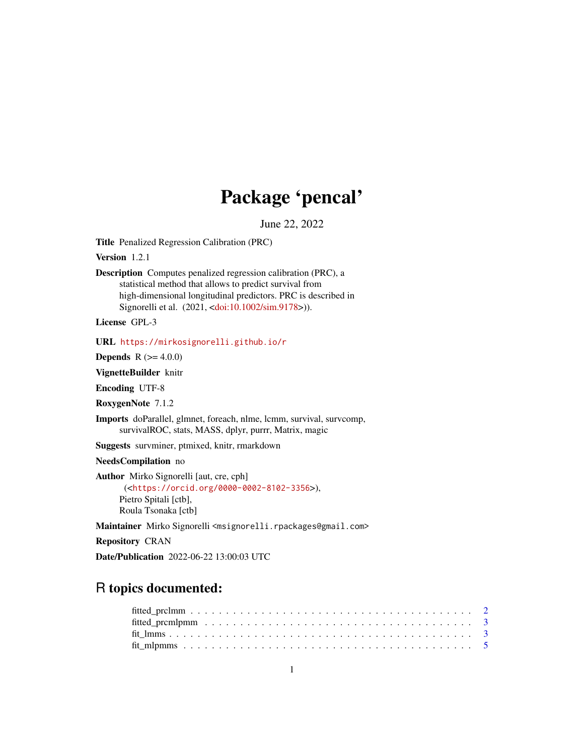# Package 'pencal'

June 22, 2022

<span id="page-0-0"></span>Title Penalized Regression Calibration (PRC)

Version 1.2.1

Description Computes penalized regression calibration (PRC), a statistical method that allows to predict survival from high-dimensional longitudinal predictors. PRC is described in Signorelli et al. (2021, [<doi:10.1002/sim.9178>](https://doi.org/10.1002/sim.9178))).

License GPL-3

URL <https://mirkosignorelli.github.io/r>

**Depends**  $R (= 4.0.0)$ 

VignetteBuilder knitr

Encoding UTF-8

RoxygenNote 7.1.2

Imports doParallel, glmnet, foreach, nlme, lcmm, survival, survcomp, survivalROC, stats, MASS, dplyr, purrr, Matrix, magic

Suggests survminer, ptmixed, knitr, rmarkdown

NeedsCompilation no

Author Mirko Signorelli [aut, cre, cph] (<<https://orcid.org/0000-0002-8102-3356>>), Pietro Spitali [ctb], Roula Tsonaka [ctb]

Maintainer Mirko Signorelli <msignorelli.rpackages@gmail.com>

Repository CRAN

Date/Publication 2022-06-22 13:00:03 UTC

# R topics documented: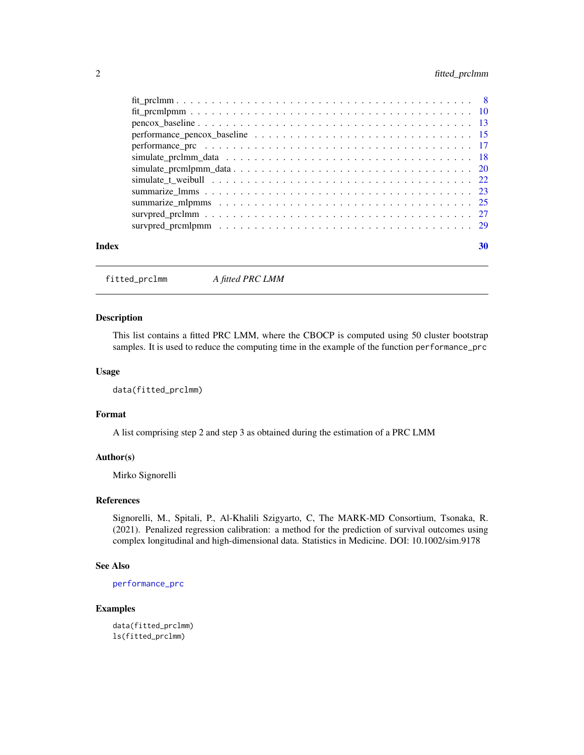# <span id="page-1-0"></span>2 fitted\_prclmm

| Index | 30 |
|-------|----|

fitted\_prclmm *A fitted PRC LMM*

#### Description

This list contains a fitted PRC LMM, where the CBOCP is computed using 50 cluster bootstrap samples. It is used to reduce the computing time in the example of the function performance\_prc

# Usage

data(fitted\_prclmm)

# Format

A list comprising step 2 and step 3 as obtained during the estimation of a PRC LMM

#### Author(s)

Mirko Signorelli

#### References

Signorelli, M., Spitali, P., Al-Khalili Szigyarto, C, The MARK-MD Consortium, Tsonaka, R. (2021). Penalized regression calibration: a method for the prediction of survival outcomes using complex longitudinal and high-dimensional data. Statistics in Medicine. DOI: 10.1002/sim.9178

#### See Also

[performance\\_prc](#page-16-1)

# Examples

data(fitted\_prclmm) ls(fitted\_prclmm)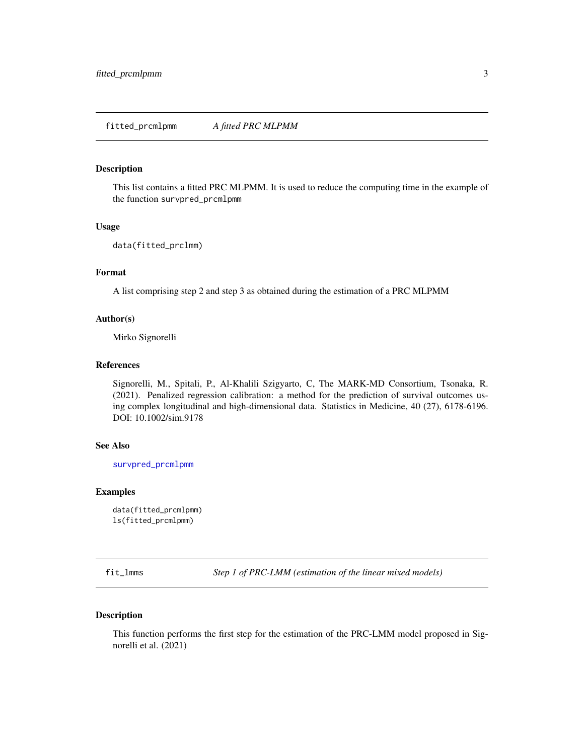# <span id="page-2-0"></span>Description

This list contains a fitted PRC MLPMM. It is used to reduce the computing time in the example of the function survpred\_prcmlpmm

#### Usage

```
data(fitted_prclmm)
```
# Format

A list comprising step 2 and step 3 as obtained during the estimation of a PRC MLPMM

#### Author(s)

Mirko Signorelli

#### References

Signorelli, M., Spitali, P., Al-Khalili Szigyarto, C, The MARK-MD Consortium, Tsonaka, R. (2021). Penalized regression calibration: a method for the prediction of survival outcomes using complex longitudinal and high-dimensional data. Statistics in Medicine, 40 (27), 6178-6196. DOI: 10.1002/sim.9178

#### See Also

[survpred\\_prcmlpmm](#page-28-1)

#### Examples

data(fitted\_prcmlpmm) ls(fitted\_prcmlpmm)

<span id="page-2-1"></span>fit\_lmms *Step 1 of PRC-LMM (estimation of the linear mixed models)*

# Description

This function performs the first step for the estimation of the PRC-LMM model proposed in Signorelli et al. (2021)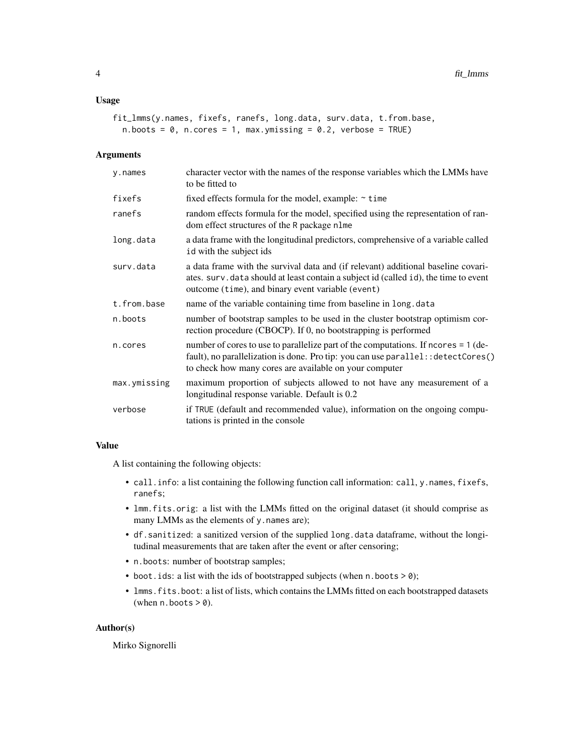#### Usage

```
fit_lmms(y.names, fixefs, ranefs, long.data, surv.data, t.from.base,
 n.boots = 0, n.cores = 1, max.ymissing = 0.2, verbose = TRUE)
```
# Arguments

| y.names      | character vector with the names of the response variables which the LMMs have<br>to be fitted to                                                                                                                                   |
|--------------|------------------------------------------------------------------------------------------------------------------------------------------------------------------------------------------------------------------------------------|
| fixefs       | fixed effects formula for the model, example: $\sim$ time                                                                                                                                                                          |
| ranefs       | random effects formula for the model, specified using the representation of ran-<br>dom effect structures of the R package nlme                                                                                                    |
| long.data    | a data frame with the longitudinal predictors, comprehensive of a variable called<br>id with the subject ids                                                                                                                       |
| surv.data    | a data frame with the survival data and (if relevant) additional baseline covari-<br>ates. surv. data should at least contain a subject id (called id), the time to event<br>outcome (time), and binary event variable (event)     |
| t.from.base  | name of the variable containing time from baseline in long. data                                                                                                                                                                   |
| n.boots      | number of bootstrap samples to be used in the cluster bootstrap optimism cor-<br>rection procedure (CBOCP). If 0, no bootstrapping is performed                                                                                    |
| n.cores      | number of cores to use to parallelize part of the computations. If ncores = 1 (de-<br>fault), no parallelization is done. Pro tip: you can use parallel: : detectCores()<br>to check how many cores are available on your computer |
| max.ymissing | maximum proportion of subjects allowed to not have any measurement of a<br>longitudinal response variable. Default is 0.2                                                                                                          |
| verbose      | if TRUE (default and recommended value), information on the ongoing compu-<br>tations is printed in the console                                                                                                                    |
|              |                                                                                                                                                                                                                                    |

# Value

A list containing the following objects:

- call.info: a list containing the following function call information: call, y.names, fixefs, ranefs;
- lmm.fits.orig: a list with the LMMs fitted on the original dataset (it should comprise as many LMMs as the elements of y.names are);
- df.sanitized: a sanitized version of the supplied long.data dataframe, without the longitudinal measurements that are taken after the event or after censoring;
- n.boots: number of bootstrap samples;
- boot.ids: a list with the ids of bootstrapped subjects (when n.boots > 0);
- lmms.fits.boot: a list of lists, which contains the LMMs fitted on each bootstrapped datasets (when  $n.$  boots  $> 0$ ).

#### Author(s)

Mirko Signorelli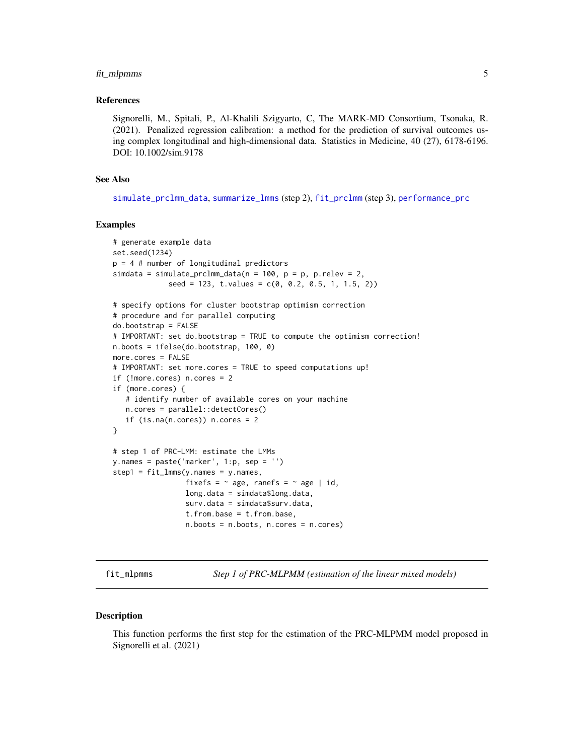# <span id="page-4-0"></span>fit\_mlpmms 5

#### References

Signorelli, M., Spitali, P., Al-Khalili Szigyarto, C, The MARK-MD Consortium, Tsonaka, R. (2021). Penalized regression calibration: a method for the prediction of survival outcomes using complex longitudinal and high-dimensional data. Statistics in Medicine, 40 (27), 6178-6196. DOI: 10.1002/sim.9178

# See Also

[simulate\\_prclmm\\_data](#page-17-1), [summarize\\_lmms](#page-22-1) (step 2), [fit\\_prclmm](#page-7-1) (step 3), [performance\\_prc](#page-16-1)

# Examples

```
# generate example data
set.seed(1234)
p = 4 # number of longitudinal predictors
simdata = simulate_prclmm_data(n = 100, p = p, p. relev = 2,
             seed = 123, t.values = c(0, 0.2, 0.5, 1, 1.5, 2))# specify options for cluster bootstrap optimism correction
# procedure and for parallel computing
do.bootstrap = FALSE
# IMPORTANT: set do.bootstrap = TRUE to compute the optimism correction!
n.boots = ifelse(do.bootstrap, 100, 0)
more.cores = FALSE
# IMPORTANT: set more.cores = TRUE to speed computations up!
if (!more.cores) n.cores = 2
if (more.cores) {
   # identify number of available cores on your machine
   n.cores = parallel::detectCores()
   if (is.na(n.core)) n.cores = 2
}
# step 1 of PRC-LMM: estimate the LMMs
y.names = paste('marker', 1:p, sep = '')
step1 = fit_lmms(y.names = y.names,
                 fixefs = \sim age, ranefs = \sim age | id,
                 long.data = simdata$long.data,
                 surv.data = simdata$surv.data,
                 t.from.base = t.from.base,
                 n.boots = n.boots, n.cores = n.cores)
```
<span id="page-4-1"></span>fit\_mlpmms *Step 1 of PRC-MLPMM (estimation of the linear mixed models)*

#### **Description**

This function performs the first step for the estimation of the PRC-MLPMM model proposed in Signorelli et al. (2021)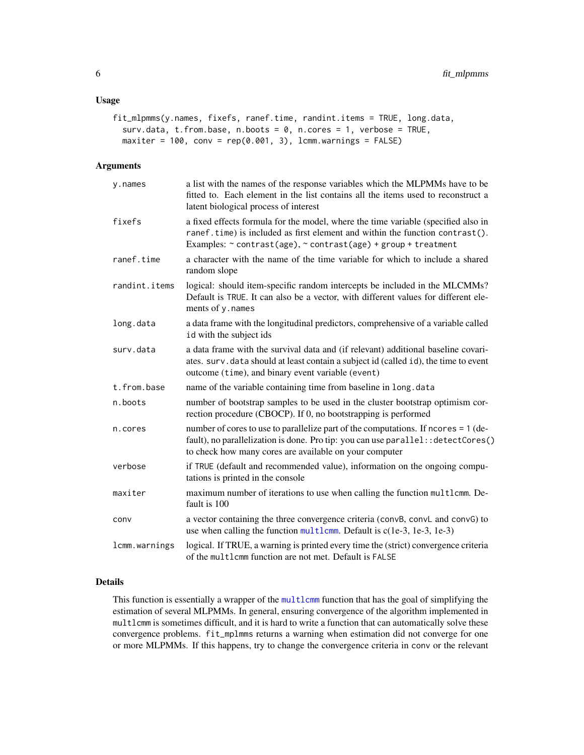# <span id="page-5-0"></span>Usage

```
fit_mlpmms(y.names, fixefs, ranef.time, randint.items = TRUE, long.data,
  surv.data, t.from.base, n.boots = 0, n.cores = 1, verbose = TRUE,
 maxiter = 100, conv = rep(0.001, 3), lcmm.warnings = FALSE)
```
#### Arguments

| y.names       | a list with the names of the response variables which the MLPMMs have to be<br>fitted to. Each element in the list contains all the items used to reconstruct a<br>latent biological process of interest                            |
|---------------|-------------------------------------------------------------------------------------------------------------------------------------------------------------------------------------------------------------------------------------|
| fixefs        | a fixed effects formula for the model, where the time variable (specified also in<br>ranef.time) is included as first element and within the function contrast().<br>Examples: ~ contrast(age), ~ contrast(age) + group + treatment |
| ranef.time    | a character with the name of the time variable for which to include a shared<br>random slope                                                                                                                                        |
| randint.items | logical: should item-specific random intercepts be included in the MLCMMs?<br>Default is TRUE. It can also be a vector, with different values for different ele-<br>ments of y.names                                                |
| long.data     | a data frame with the longitudinal predictors, comprehensive of a variable called<br>id with the subject ids                                                                                                                        |
| surv.data     | a data frame with the survival data and (if relevant) additional baseline covari-<br>ates. surv.data should at least contain a subject id (called id), the time to event<br>outcome (time), and binary event variable (event)       |
| t.from.base   | name of the variable containing time from baseline in long. data                                                                                                                                                                    |
| n.boots       | number of bootstrap samples to be used in the cluster bootstrap optimism cor-<br>rection procedure (CBOCP). If 0, no bootstrapping is performed                                                                                     |
| n.cores       | number of cores to use to parallelize part of the computations. If ncores = 1 (de-<br>fault), no parallelization is done. Pro tip: you can use parallel: : detectCores()<br>to check how many cores are available on your computer  |
| verbose       | if TRUE (default and recommended value), information on the ongoing compu-<br>tations is printed in the console                                                                                                                     |
| maxiter       | maximum number of iterations to use when calling the function multlcmm. De-<br>fault is 100                                                                                                                                         |
| conv          | a vector containing the three convergence criteria (convB, convL and convG) to<br>use when calling the function $multlcmm$ . Default is $c(1e-3, 1e-3, 1e-3)$                                                                       |
| lcmm.warnings | logical. If TRUE, a warning is printed every time the (strict) convergence criteria<br>of the multlcmm function are not met. Default is FALSE                                                                                       |

# Details

This function is essentially a wrapper of the [multlcmm](#page-0-0) function that has the goal of simplifying the estimation of several MLPMMs. In general, ensuring convergence of the algorithm implemented in multlcmm is sometimes difficult, and it is hard to write a function that can automatically solve these convergence problems. fit\_mplmms returns a warning when estimation did not converge for one or more MLPMMs. If this happens, try to change the convergence criteria in conv or the relevant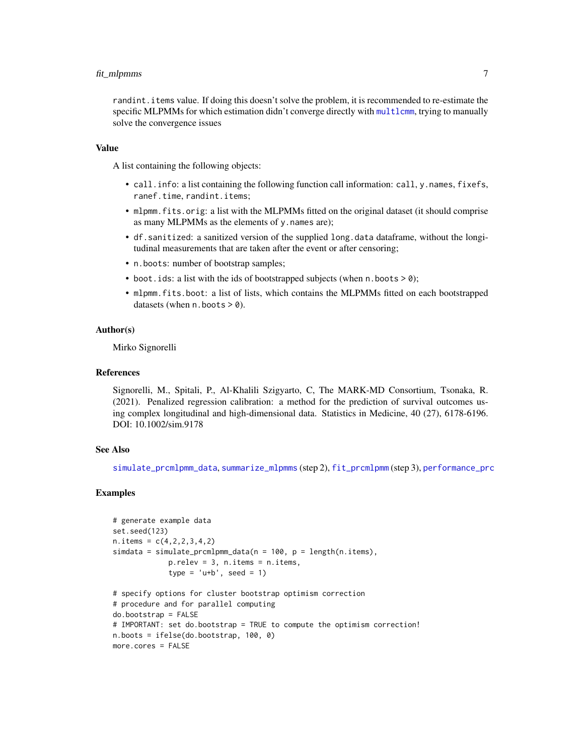# <span id="page-6-0"></span>fit\_mlpmms 7

randint.items value. If doing this doesn't solve the problem, it is recommended to re-estimate the specific MLPMMs for which estimation didn't converge directly with [multlcmm](#page-0-0), trying to manually solve the convergence issues

#### Value

A list containing the following objects:

- call.info: a list containing the following function call information: call, y.names, fixefs, ranef.time, randint.items;
- mlpmm. fits.orig: a list with the MLPMMs fitted on the original dataset (it should comprise as many MLPMMs as the elements of y.names are);
- df.sanitized: a sanitized version of the supplied long.data dataframe, without the longitudinal measurements that are taken after the event or after censoring;
- n.boots: number of bootstrap samples;
- boot.ids: a list with the ids of bootstrapped subjects (when  $n.$  boots  $> 0$ );
- mlpmm.fits.boot: a list of lists, which contains the MLPMMs fitted on each bootstrapped datasets (when  $n.$  boots  $> 0$ ).

# Author(s)

Mirko Signorelli

# References

Signorelli, M., Spitali, P., Al-Khalili Szigyarto, C, The MARK-MD Consortium, Tsonaka, R. (2021). Penalized regression calibration: a method for the prediction of survival outcomes using complex longitudinal and high-dimensional data. Statistics in Medicine, 40 (27), 6178-6196. DOI: 10.1002/sim.9178

#### See Also

[simulate\\_prcmlpmm\\_data](#page-19-1), [summarize\\_mlpmms](#page-24-1) (step 2), [fit\\_prcmlpmm](#page-9-1) (step 3), [performance\\_prc](#page-16-1)

```
# generate example data
set.seed(123)
n. items = c(4, 2, 2, 3, 4, 2)simdata = simulate_prcmlpmm_data(n = 100, p = length(n.items),
             p.relev = 3, n.items = n.items,
             type = 'u+b', seed = 1)
# specify options for cluster bootstrap optimism correction
# procedure and for parallel computing
do.bootstrap = FALSE
# IMPORTANT: set do.bootstrap = TRUE to compute the optimism correction!
n.boots = ifelse(do.bootstrap, 100, 0)
more.cores = FALSE
```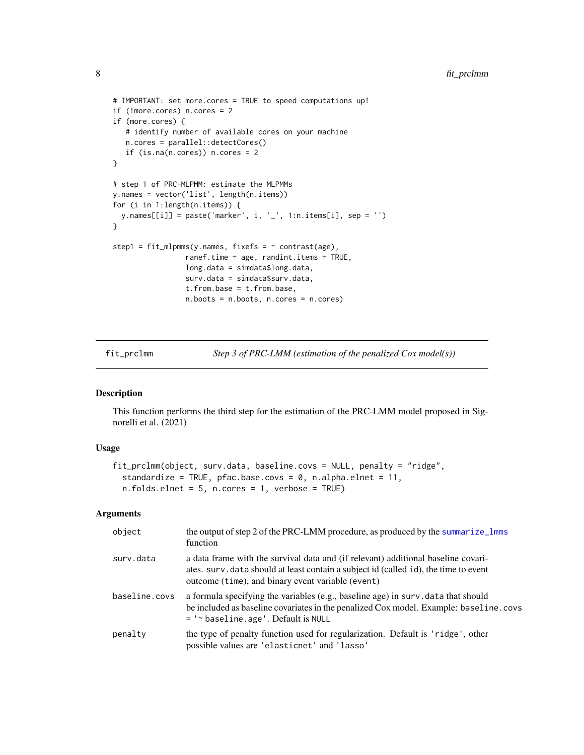```
# IMPORTANT: set more.cores = TRUE to speed computations up!
if (!more.cores) n.cores = 2
if (more.cores) {
  # identify number of available cores on your machine
  n.cores = parallel::detectCores()
  if (is.na(n.cores)) n.cores = 2
}
# step 1 of PRC-MLPMM: estimate the MLPMMs
y.names = vector('list', length(n.items))
for (i in 1:length(n.items)) {
  y.namees[[i]] = paste('marker', i, '-'', 1:n.items[i], sep = '')}
step1 = fit_m1pmms(y.names, fixes f = ~ contrast(age),
                 ranef.time = age, randint.items = TRUE,
                 long.data = simdata$long.data,
                 surv.data = simdata$surv.data,
                 t.from.base = t.from.base,
                 n.boots = n.boots, n.cores = n.cores)
```
<span id="page-7-1"></span>fit\_prclmm *Step 3 of PRC-LMM (estimation of the penalized Cox model(s))*

# Description

This function performs the third step for the estimation of the PRC-LMM model proposed in Signorelli et al. (2021)

### Usage

```
fit_prclmm(object, surv.data, baseline.covs = NULL, penalty = "ridge",
  standardize = TRUE, pfac.base.covs = 0, n.alpha.elnet = 11,
  n.folds.elnet = 5, n.cores = 1, verbose = TRUE)
```
#### Arguments

| object        | the output of step 2 of the PRC-LMM procedure, as produced by the summarize_lmms<br>function                                                                                                                                   |
|---------------|--------------------------------------------------------------------------------------------------------------------------------------------------------------------------------------------------------------------------------|
| surv.data     | a data frame with the survival data and (if relevant) additional baseline covari-<br>ates. surv. data should at least contain a subject id (called id), the time to event<br>outcome (time), and binary event variable (event) |
| baseline.covs | a formula specifying the variables (e.g., baseline age) in surv. data that should<br>be included as baseline covariates in the penalized Cox model. Example: baseline.covs<br>= '~ baseline.age'. Default is NULL              |
| penalty       | the type of penalty function used for regularization. Default is 'ridge', other<br>possible values are 'elasticnet' and 'lasso'                                                                                                |

<span id="page-7-0"></span>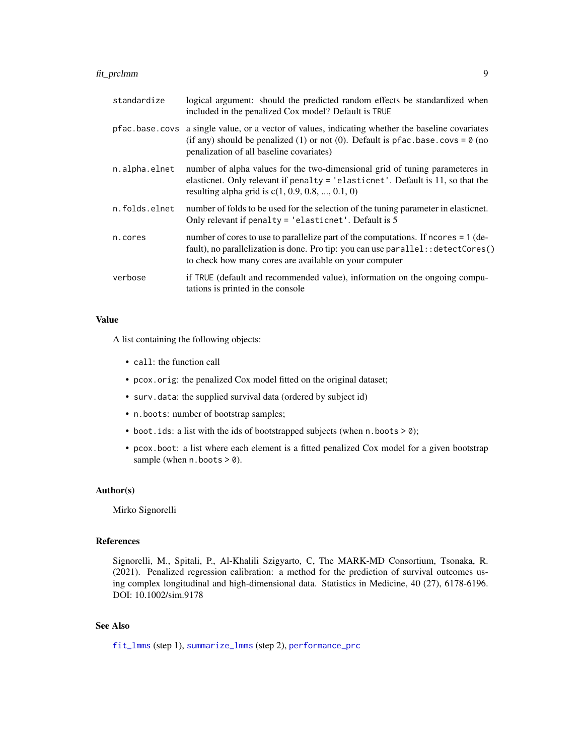# <span id="page-8-0"></span>fit\_prclmm 9

| standardize   | logical argument: should the predicted random effects be standardized when<br>included in the penalized Cox model? Default is TRUE                                                                                                      |
|---------------|-----------------------------------------------------------------------------------------------------------------------------------------------------------------------------------------------------------------------------------------|
|               | pfac.base.covs a single value, or a vector of values, indicating whether the baseline covariates<br>(if any) should be penalized (1) or not (0). Default is pfac. base. covs = $\theta$ (no<br>penalization of all baseline covariates) |
| n.alpha.elnet | number of alpha values for the two-dimensional grid of tuning parameteres in<br>elasticnet. Only relevant if penalty = $'$ elasticnet'. Default is 11, so that the<br>resulting alpha grid is $c(1, 0.9, 0.8, , 0.1, 0)$                |
| n.folds.elnet | number of folds to be used for the selection of the tuning parameter in elastichet.<br>Only relevant if penalty $=$ 'elasticnet'. Default is 5                                                                                          |
| n.cores       | number of cores to use to parallelize part of the computations. If ncores = 1 (de-<br>fault), no parallelization is done. Pro tip: you can use parallel: : detectCores()<br>to check how many cores are available on your computer      |
| verbose       | if TRUE (default and recommended value), information on the ongoing compu-<br>tations is printed in the console                                                                                                                         |

# Value

A list containing the following objects:

- call: the function call
- pcox.orig: the penalized Cox model fitted on the original dataset;
- surv.data: the supplied survival data (ordered by subject id)
- n.boots: number of bootstrap samples;
- boot. ids: a list with the ids of bootstrapped subjects (when  $n \cdot$  boots  $> 0$ );
- pcox.boot: a list where each element is a fitted penalized Cox model for a given bootstrap sample (when  $n.$  boots  $> 0$ ).

#### Author(s)

Mirko Signorelli

# References

Signorelli, M., Spitali, P., Al-Khalili Szigyarto, C, The MARK-MD Consortium, Tsonaka, R. (2021). Penalized regression calibration: a method for the prediction of survival outcomes using complex longitudinal and high-dimensional data. Statistics in Medicine, 40 (27), 6178-6196. DOI: 10.1002/sim.9178

# See Also

[fit\\_lmms](#page-2-1) (step 1), [summarize\\_lmms](#page-22-1) (step 2), [performance\\_prc](#page-16-1)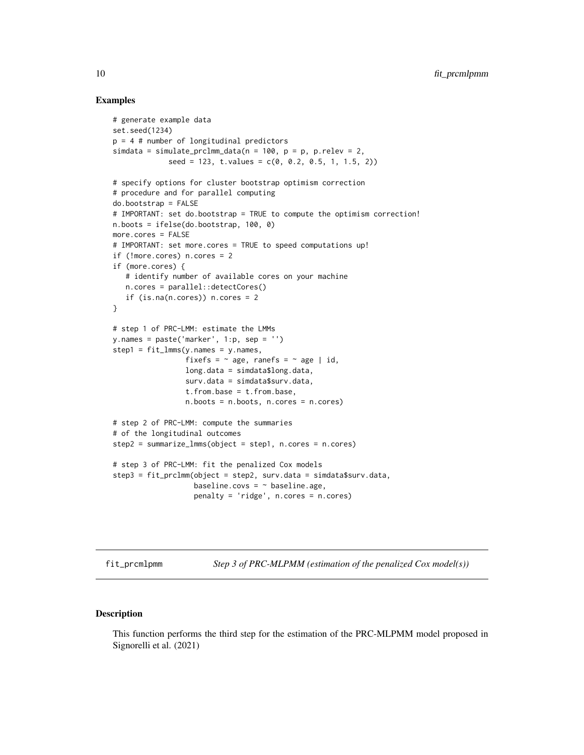# Examples

```
# generate example data
set.seed(1234)
p = 4 # number of longitudinal predictors
simdata = simulate_prclmm_data(n = 100, p = p, p.relev = 2,
             seed = 123, t.values = c(0, 0.2, 0.5, 1, 1.5, 2))
# specify options for cluster bootstrap optimism correction
# procedure and for parallel computing
do.bootstrap = FALSE
# IMPORTANT: set do.bootstrap = TRUE to compute the optimism correction!
n.boots = ifelse(do.bootstrap, 100, 0)
more.cores = FALSE
# IMPORTANT: set more.cores = TRUE to speed computations up!
if (!more.cores) n.cores = 2
if (more.cores) {
   # identify number of available cores on your machine
   n.cores = parallel::detectCores()
   if (is.na(n.cores)) n.cores = 2
}
# step 1 of PRC-LMM: estimate the LMMs
y.name = paste('marker', 1:p, sep = '')step1 = fit_{\text{lmms}}(y.\text{names} = y.\text{names},fixefs = \sim age, ranefs = \sim age | id,
                 long.data = simdata$long.data,
                 surv.data = simdata$surv.data,
                 t.from.base = t.from.base,
                 n.boots = n.boots, n.cores = n.cores)
# step 2 of PRC-LMM: compute the summaries
# of the longitudinal outcomes
step2 = summarize_lmms(object = step1, n.cores = n.cores)
# step 3 of PRC-LMM: fit the penalized Cox models
step3 = fit_prclmm(object = step2, surv.data = simdata$surv.data,
                   baseline.covs = \sim baseline.age,
                   penalty = 'ridge', n.cores = n.cores)
```
<span id="page-9-1"></span>fit\_prcmlpmm *Step 3 of PRC-MLPMM (estimation of the penalized Cox model(s))*

#### Description

This function performs the third step for the estimation of the PRC-MLPMM model proposed in Signorelli et al. (2021)

<span id="page-9-0"></span>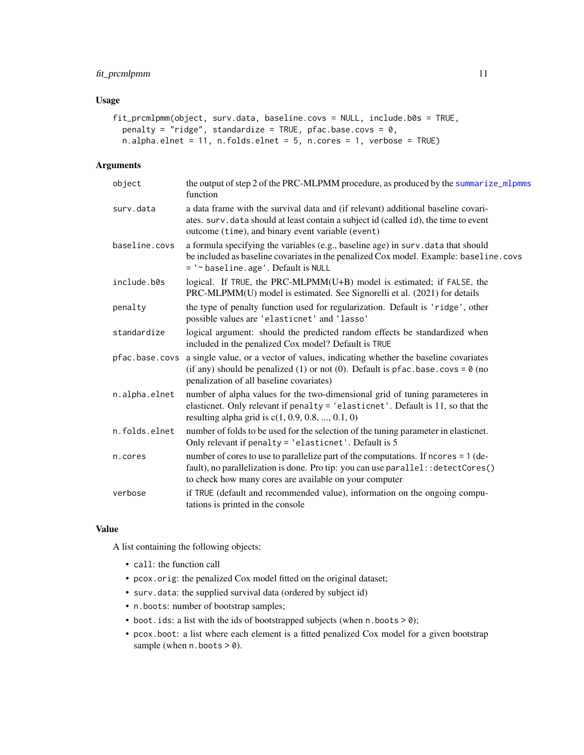# <span id="page-10-0"></span>fit\_prcmlpmm 11

# Usage

```
fit_prcmlpmm(object, surv.data, baseline.covs = NULL, include.b0s = TRUE,
 penalty = "ridge", standardize = TRUE, pfac.base.covs = 0,
 n.alpha.elnet = 11, n.folds.elnet = 5, n.cores = 1, verbose = TRUE)
```
## Arguments

| object        | the output of step 2 of the PRC-MLPMM procedure, as produced by the summarize_mlpmms<br>function                                                                                                                                        |
|---------------|-----------------------------------------------------------------------------------------------------------------------------------------------------------------------------------------------------------------------------------------|
| surv.data     | a data frame with the survival data and (if relevant) additional baseline covari-<br>ates. surv.data should at least contain a subject id (called id), the time to event<br>outcome (time), and binary event variable (event)           |
| baseline.covs | a formula specifying the variables (e.g., baseline age) in surv. data that should<br>be included as baseline covariates in the penalized Cox model. Example: baseline.covs<br>= '~ baseline.age'. Default is NULL                       |
| include.b0s   | logical. If TRUE, the PRC-MLPMM(U+B) model is estimated; if FALSE, the<br>PRC-MLPMM(U) model is estimated. See Signorelli et al. (2021) for details                                                                                     |
| penalty       | the type of penalty function used for regularization. Default is 'ridge', other<br>possible values are 'elasticnet' and 'lasso'                                                                                                         |
| standardize   | logical argument: should the predicted random effects be standardized when<br>included in the penalized Cox model? Default is TRUE                                                                                                      |
|               | pfac.base.covs a single value, or a vector of values, indicating whether the baseline covariates<br>(if any) should be penalized (1) or not (0). Default is pfac. base. covs = $\theta$ (no<br>penalization of all baseline covariates) |
| n.alpha.elnet | number of alpha values for the two-dimensional grid of tuning parameteres in<br>elasticnet. Only relevant if penalty = 'elasticnet'. Default is 11, so that the<br>resulting alpha grid is $c(1, 0.9, 0.8, , 0.1, 0)$                   |
| n.folds.elnet | number of folds to be used for the selection of the tuning parameter in elasticnet.<br>Only relevant if penalty = 'elasticnet'. Default is 5                                                                                            |
| n.cores       | number of cores to use to parallelize part of the computations. If ncores = 1 (de-<br>fault), no parallelization is done. Pro tip: you can use parallel: : detectCores()<br>to check how many cores are available on your computer      |
| verbose       | if TRUE (default and recommended value), information on the ongoing compu-<br>tations is printed in the console                                                                                                                         |

#### Value

A list containing the following objects:

- call: the function call
- pcox.orig: the penalized Cox model fitted on the original dataset;
- surv.data: the supplied survival data (ordered by subject id)
- n.boots: number of bootstrap samples;
- boot.ids: a list with the ids of bootstrapped subjects (when n.boots > 0);
- pcox.boot: a list where each element is a fitted penalized Cox model for a given bootstrap sample (when  $n.$  boots  $> 0$ ).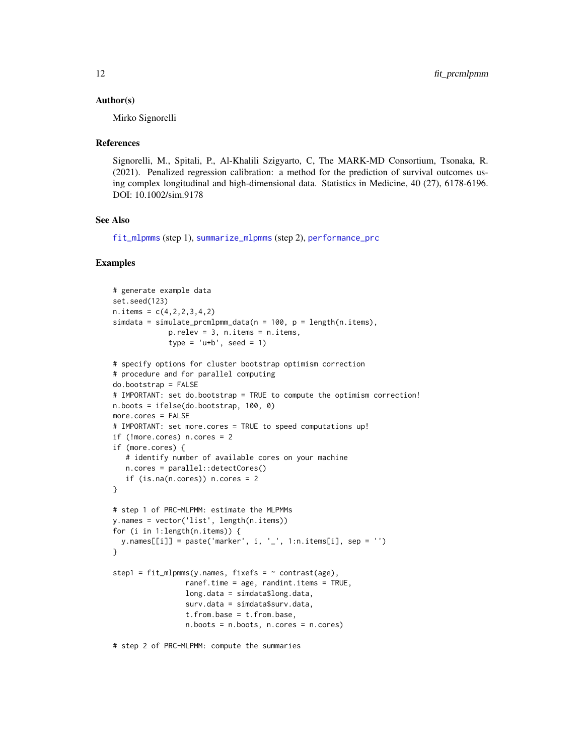#### <span id="page-11-0"></span>Author(s)

Mirko Signorelli

#### References

Signorelli, M., Spitali, P., Al-Khalili Szigyarto, C, The MARK-MD Consortium, Tsonaka, R. (2021). Penalized regression calibration: a method for the prediction of survival outcomes using complex longitudinal and high-dimensional data. Statistics in Medicine, 40 (27), 6178-6196. DOI: 10.1002/sim.9178

# See Also

[fit\\_mlpmms](#page-4-1) (step 1), [summarize\\_mlpmms](#page-24-1) (step 2), [performance\\_prc](#page-16-1)

```
# generate example data
set.seed(123)
n. items = c(4, 2, 2, 3, 4, 2)simdata = simulate_prcmlpmm_data(n = 100, p = length(n.items),
             p.relev = 3, n.items = n.items,
             type = 'u+b', seed = 1)
# specify options for cluster bootstrap optimism correction
# procedure and for parallel computing
do.bootstrap = FALSE
# IMPORTANT: set do.bootstrap = TRUE to compute the optimism correction!
n.boots = ifelse(do.bootstrap, 100, 0)
more.cores = FALSE
# IMPORTANT: set more.cores = TRUE to speed computations up!
if (!more.cores) n.cores = 2
if (more.cores) {
   # identify number of available cores on your machine
   n.cores = parallel::detectCores()
   if (is.na(n.core)) n.cores = 2
}
# step 1 of PRC-MLPMM: estimate the MLPMMs
y.names = vector('list', length(n.items))
for (i in 1:length(n.items)) {
  y.names[[i]] = paste('marker', i, '_', 1:n.items[i], sep = '')
}
step1 = fit_m1pmms(y.name, fixefs = ~ contrast(age),ranef.time = age, randint.items = TRUE,
                 long.data = simdata$long.data,
                 surv.data = simdata$surv.data,
                 t.from.base = t.from.base,
                 n.boots = n.boots, n.cores = n.cores)
# step 2 of PRC-MLPMM: compute the summaries
```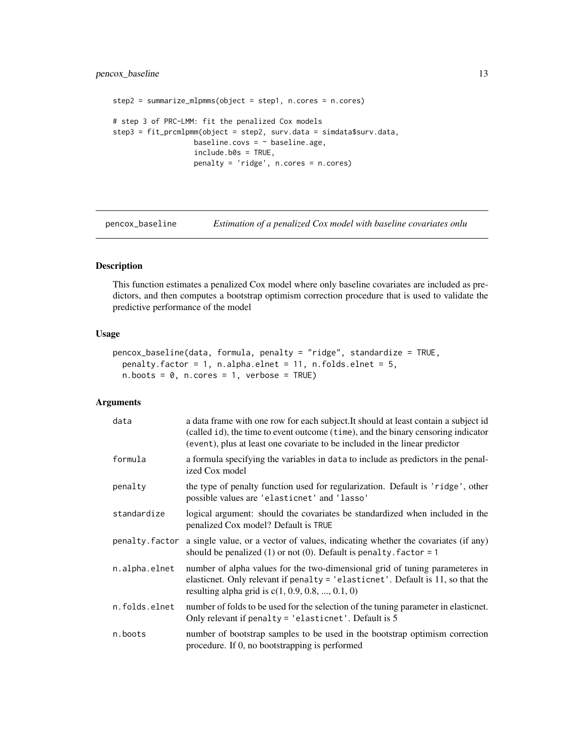# <span id="page-12-0"></span>pencox\_baseline 13

```
step2 = summarize_mlpmms(object = step1, n.cores = n.cores)
# step 3 of PRC-LMM: fit the penalized Cox models
step3 = fit_prcmlpmm(object = step2, surv.data = simdata$surv.data,
                  baseline.covs = \sim baseline.age,
                   include.b0s = TRUE,
                   penalty = 'ridge', n.cores = n.cores)
```
<span id="page-12-1"></span>pencox\_baseline *Estimation of a penalized Cox model with baseline covariates onlu*

## Description

This function estimates a penalized Cox model where only baseline covariates are included as predictors, and then computes a bootstrap optimism correction procedure that is used to validate the predictive performance of the model

#### Usage

```
pencox_baseline(data, formula, penalty = "ridge", standardize = TRUE,
 penalty.factor = 1, n.alpha.elnet = 11, n.folds.elnet = 5,
 n.boots = 0, n.cores = 1, verbose = TRUE)
```
#### Arguments

| data           | a data frame with one row for each subject. It should at least contain a subject id<br>(called id), the time to event outcome (time), and the binary censoring indicator<br>(event), plus at least one covariate to be included in the linear predictor |
|----------------|---------------------------------------------------------------------------------------------------------------------------------------------------------------------------------------------------------------------------------------------------------|
| formula        | a formula specifying the variables in data to include as predictors in the penal-<br>ized Cox model                                                                                                                                                     |
| penalty        | the type of penalty function used for regularization. Default is 'ridge', other<br>possible values are 'elasticnet' and 'lasso'                                                                                                                         |
| standardize    | logical argument: should the covariates be standardized when included in the<br>penalized Cox model? Default is TRUE                                                                                                                                    |
| penalty.factor | a single value, or a vector of values, indicating whether the covariates (if any)<br>should be penalized $(1)$ or not $(0)$ . Default is penalty. factor = 1                                                                                            |
| n.alpha.elnet  | number of alpha values for the two-dimensional grid of tuning parameteres in<br>elasticnet. Only relevant if penalty = 'elasticnet'. Default is 11, so that the<br>resulting alpha grid is $c(1, 0.9, 0.8, , 0.1, 0)$                                   |
| n.folds.elnet  | number of folds to be used for the selection of the tuning parameter in elastichet.<br>Only relevant if penalty = 'elasticnet'. Default is 5                                                                                                            |
| n.boots        | number of bootstrap samples to be used in the bootstrap optimism correction<br>procedure. If 0, no bootstrapping is performed                                                                                                                           |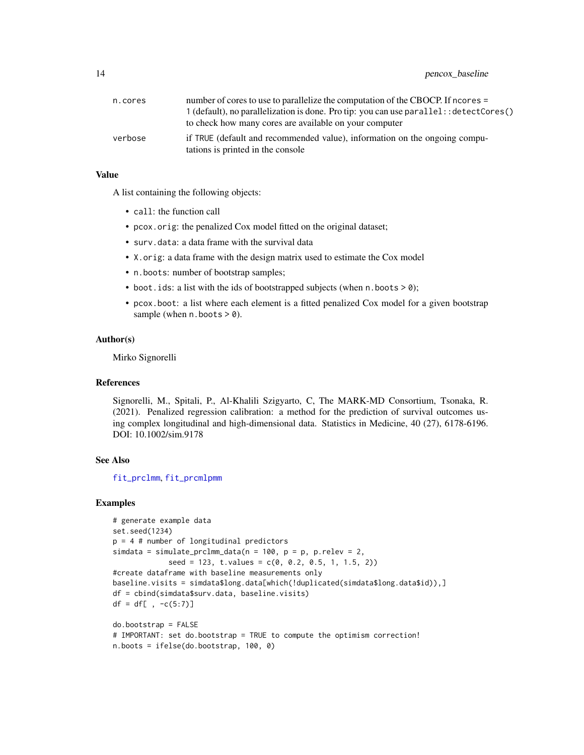# <span id="page-13-0"></span>14 pencox\_baseline

| n.cores | number of cores to use to parallelize the computation of the CBOCP. If ncores =                                 |
|---------|-----------------------------------------------------------------------------------------------------------------|
|         | $1$ (default), no parallelization is done. Pro tip: you can use parallel: : detectCores()                       |
|         | to check how many cores are available on your computer                                                          |
| verbose | if TRUE (default and recommended value), information on the ongoing compu-<br>tations is printed in the console |

#### Value

A list containing the following objects:

- call: the function call
- pcox.orig: the penalized Cox model fitted on the original dataset;
- surv.data: a data frame with the survival data
- X.orig: a data frame with the design matrix used to estimate the Cox model
- n.boots: number of bootstrap samples;
- boot. ids: a list with the ids of bootstrapped subjects (when  $n.$  boots  $> 0$ );
- pcox.boot: a list where each element is a fitted penalized Cox model for a given bootstrap sample (when  $n.$  boots  $> 0$ ).

#### Author(s)

Mirko Signorelli

# References

Signorelli, M., Spitali, P., Al-Khalili Szigyarto, C, The MARK-MD Consortium, Tsonaka, R. (2021). Penalized regression calibration: a method for the prediction of survival outcomes using complex longitudinal and high-dimensional data. Statistics in Medicine, 40 (27), 6178-6196. DOI: 10.1002/sim.9178

#### See Also

[fit\\_prclmm](#page-7-1), [fit\\_prcmlpmm](#page-9-1)

```
# generate example data
set.seed(1234)
p = 4 # number of longitudinal predictors
simdata = simulate_prclmm_data(n = 100, p = p, p.relev = 2,
             seed = 123, t.values = c(0, 0.2, 0.5, 1, 1.5, 2))
#create dataframe with baseline measurements only
baseline.visits = simdata$long.data[which(!duplicated(simdata$long.data$id)),]
df = cbind(simdata$surv.data, baseline.visits)
df = df[ , -c(5:7)]do.bootstrap = FALSE
```

```
# IMPORTANT: set do.bootstrap = TRUE to compute the optimism correction!
n.boots = ifelse(do.bootstrap, 100, 0)
```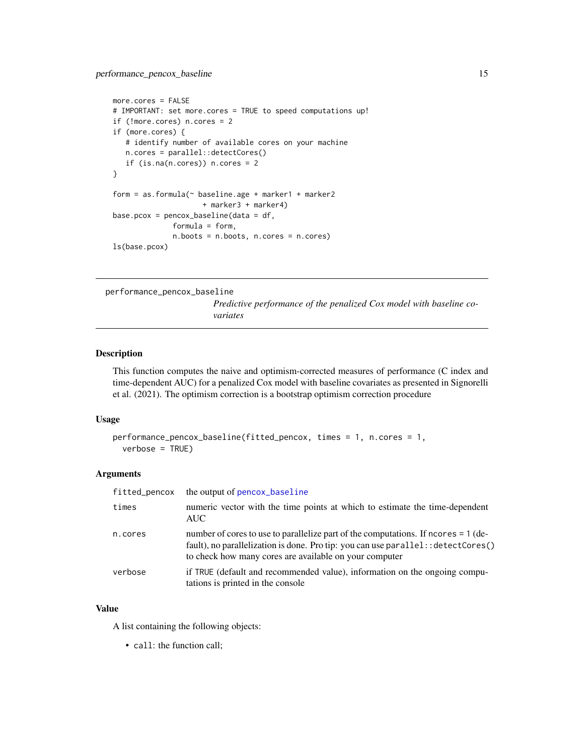```
more.cores = FALSE
# IMPORTANT: set more.cores = TRUE to speed computations up!
if (!more.cores) n.cores = 2
if (more.cores) {
   # identify number of available cores on your machine
  n.cores = parallel::detectCores()
   if (is.na(n.core)) n.cores = 2
}
form = as.formula(\sim baseline.age + marker1 + marker2
                     + marker3 + marker4)
base.pcox = pencox_baseline(data = df,
              formula = form,
              n.boots = n.boots, n.cores = n.cores)
ls(base.pcox)
```
performance\_pencox\_baseline

*Predictive performance of the penalized Cox model with baseline covariates*

# Description

This function computes the naive and optimism-corrected measures of performance (C index and time-dependent AUC) for a penalized Cox model with baseline covariates as presented in Signorelli et al. (2021). The optimism correction is a bootstrap optimism correction procedure

#### Usage

```
performance_pencox_baseline(fitted_pencox, times = 1, n.cores = 1,
 verbose = TRUE)
```
# Arguments

| fitted_pencox | the output of pencox_baseline                                                                                                                                                                                                      |
|---------------|------------------------------------------------------------------------------------------------------------------------------------------------------------------------------------------------------------------------------------|
| times         | numeric vector with the time points at which to estimate the time-dependent<br>AUC –                                                                                                                                               |
| n.cores       | number of cores to use to parallelize part of the computations. If ncores = 1 (de-<br>fault), no parallelization is done. Pro tip: you can use parallel: : detectCores()<br>to check how many cores are available on your computer |
| verbose       | if TRUE (default and recommended value), information on the ongoing compu-<br>tations is printed in the console                                                                                                                    |

# Value

A list containing the following objects:

• call: the function call;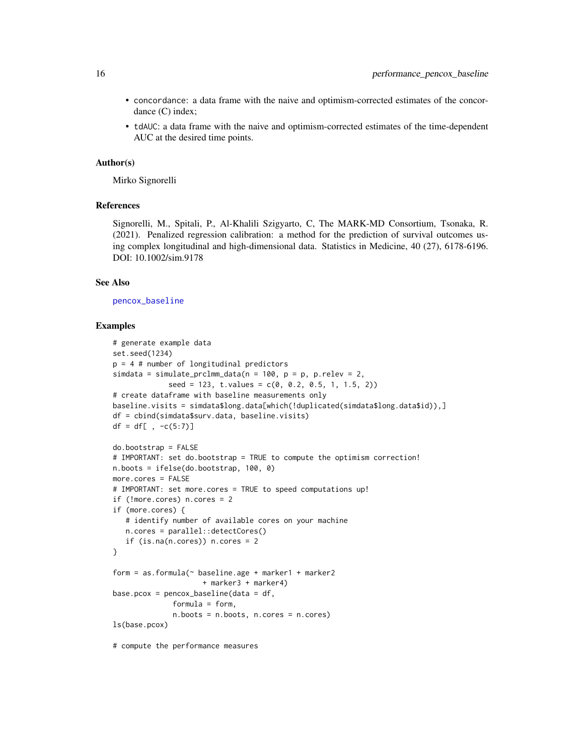- <span id="page-15-0"></span>• concordance: a data frame with the naive and optimism-corrected estimates of the concordance (C) index;
- tdAUC: a data frame with the naive and optimism-corrected estimates of the time-dependent AUC at the desired time points.

#### Author(s)

Mirko Signorelli

#### References

Signorelli, M., Spitali, P., Al-Khalili Szigyarto, C, The MARK-MD Consortium, Tsonaka, R. (2021). Penalized regression calibration: a method for the prediction of survival outcomes using complex longitudinal and high-dimensional data. Statistics in Medicine, 40 (27), 6178-6196. DOI: 10.1002/sim.9178

#### See Also

[pencox\\_baseline](#page-12-1)

#### Examples

```
# generate example data
set.seed(1234)
p = 4 # number of longitudinal predictors
simdata = simulate_prclmm_data(n = 100, p = p, p.relev = 2,
             seed = 123, t.values = c(0, 0.2, 0.5, 1, 1.5, 2))# create dataframe with baseline measurements only
baseline.visits = simdata$long.data[which(!duplicated(simdata$long.data$id)),]
df = cbind(simdata$surv.data, baseline.visits)
df = df[ , -c(5:7)]do.bootstrap = FALSE
# IMPORTANT: set do.bootstrap = TRUE to compute the optimism correction!
n.boots = ifelse(do.bootstrap, 100, 0)
more.cores = FALSE
# IMPORTANT: set more.cores = TRUE to speed computations up!
if (!more.cores) n.cores = 2
if (more.cores) {
   # identify number of available cores on your machine
   n.cores = parallel::detectCores()
   if (is.na(n.core)) n.cores = 2
}
form = as.formula(~ baseline.age + marker1 + marker2
                    + marker3 + marker4)
base.pcox = pencox_baseline(data = df,
              formula = form,
              n.boots = n.boots, n.cores = n.cores)
ls(base.pcox)
```
# compute the performance measures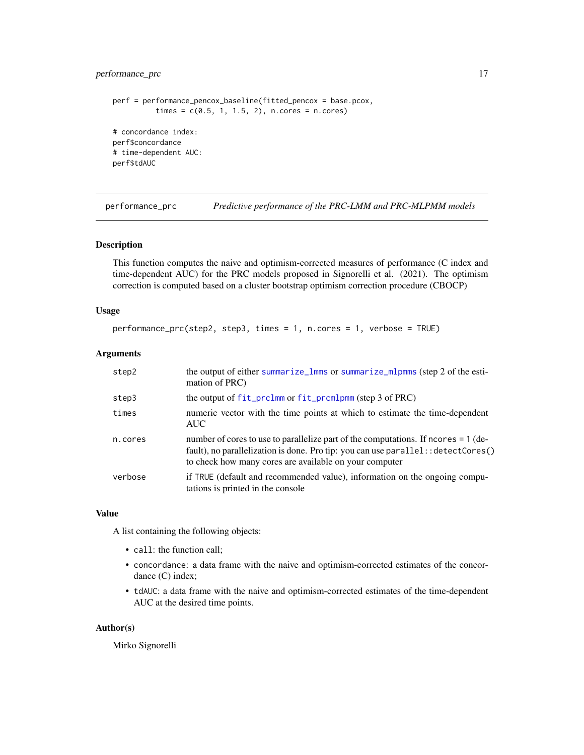# <span id="page-16-0"></span>performance\_prc 17

```
perf = performance_pencox_baseline(fitted_pencox = base.pcox,
          times = c(0.5, 1, 1.5, 2), n.cores = n.cores)
# concordance index:
perf$concordance
# time-dependent AUC:
perf$tdAUC
```
<span id="page-16-1"></span>performance\_prc *Predictive performance of the PRC-LMM and PRC-MLPMM models*

#### Description

This function computes the naive and optimism-corrected measures of performance (C index and time-dependent AUC) for the PRC models proposed in Signorelli et al. (2021). The optimism correction is computed based on a cluster bootstrap optimism correction procedure (CBOCP)

# Usage

```
performance_prc(step2, step3, times = 1, n.cores = 1, verbose = TRUE)
```
#### Arguments

| step2   | the output of either summarize_lmms or summarize_mlpmms (step 2 of the esti-<br>mation of PRC)                                                                                                                                     |
|---------|------------------------------------------------------------------------------------------------------------------------------------------------------------------------------------------------------------------------------------|
| step3   | the output of fit_prclmm or fit_prcmlpmm (step 3 of PRC)                                                                                                                                                                           |
| times   | numeric vector with the time points at which to estimate the time-dependent<br><b>AUC</b>                                                                                                                                          |
| n.cores | number of cores to use to parallelize part of the computations. If ncores = 1 (de-<br>fault), no parallelization is done. Pro tip: you can use parallel: : detectCores()<br>to check how many cores are available on your computer |
| verbose | if TRUE (default and recommended value), information on the ongoing compu-<br>tations is printed in the console                                                                                                                    |

# Value

A list containing the following objects:

- call: the function call;
- concordance: a data frame with the naive and optimism-corrected estimates of the concordance (C) index;
- tdAUC: a data frame with the naive and optimism-corrected estimates of the time-dependent AUC at the desired time points.

#### Author(s)

Mirko Signorelli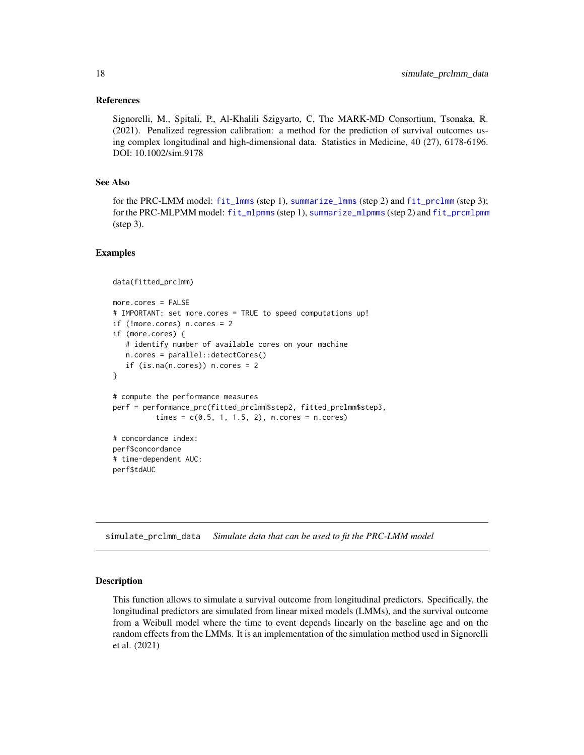#### <span id="page-17-0"></span>References

Signorelli, M., Spitali, P., Al-Khalili Szigyarto, C, The MARK-MD Consortium, Tsonaka, R. (2021). Penalized regression calibration: a method for the prediction of survival outcomes using complex longitudinal and high-dimensional data. Statistics in Medicine, 40 (27), 6178-6196. DOI: 10.1002/sim.9178

#### See Also

for the PRC-LMM model: [fit\\_lmms](#page-2-1) (step 1), [summarize\\_lmms](#page-22-1) (step 2) and [fit\\_prclmm](#page-7-1) (step 3); for the PRC-MLPMM model: [fit\\_mlpmms](#page-4-1) (step 1), [summarize\\_mlpmms](#page-24-1) (step 2) and [fit\\_prcmlpmm](#page-9-1) (step 3).

#### Examples

```
data(fitted_prclmm)
more.cores = FALSE
# IMPORTANT: set more.cores = TRUE to speed computations up!
if (!more.cores) n.cores = 2
if (more.cores) {
   # identify number of available cores on your machine
  n.cores = parallel::detectCores()
   if (is.na(n.core)) n.cores = 2
}
# compute the performance measures
perf = performance_prc(fitted_prclmm$step2, fitted_prclmm$step3,
          times = c(0.5, 1, 1.5, 2), n.cores = n.cores)
# concordance index:
perf$concordance
# time-dependent AUC:
perf$tdAUC
```
<span id="page-17-1"></span>simulate\_prclmm\_data *Simulate data that can be used to fit the PRC-LMM model*

#### Description

This function allows to simulate a survival outcome from longitudinal predictors. Specifically, the longitudinal predictors are simulated from linear mixed models (LMMs), and the survival outcome from a Weibull model where the time to event depends linearly on the baseline age and on the random effects from the LMMs. It is an implementation of the simulation method used in Signorelli et al. (2021)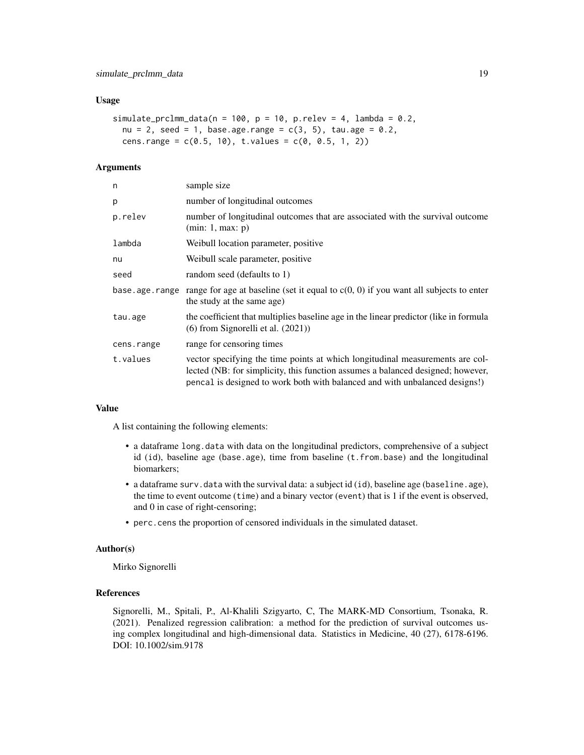#### Usage

```
simulate_prclmm_data(n = 100, p = 10, p.relev = 4, lambda = 0.2,
 nu = 2, seed = 1, base.age.range = c(3, 5), tau.age = 0.2,
 cens.range = c(0.5, 10), t.values = c(0, 0.5, 1, 2))
```
# Arguments

| n          | sample size                                                                                                                                                                                                                                     |
|------------|-------------------------------------------------------------------------------------------------------------------------------------------------------------------------------------------------------------------------------------------------|
| р          | number of longitudinal outcomes                                                                                                                                                                                                                 |
| p.relev    | number of longitudinal outcomes that are associated with the survival outcome<br>(min: 1, max: p)                                                                                                                                               |
| lambda     | Weibull location parameter, positive                                                                                                                                                                                                            |
| nu         | Weibull scale parameter, positive                                                                                                                                                                                                               |
| seed       | random seed (defaults to 1)                                                                                                                                                                                                                     |
|            | base age range range for age at baseline (set it equal to $c(0, 0)$ ) if you want all subjects to enter<br>the study at the same age)                                                                                                           |
| tau.age    | the coefficient that multiplies baseline age in the linear predictor (like in formula<br>$(6)$ from Signorelli et al. $(2021)$ )                                                                                                                |
| cens.range | range for censoring times                                                                                                                                                                                                                       |
| t.values   | vector specifying the time points at which longitudinal measurements are col-<br>lected (NB: for simplicity, this function assumes a balanced designed; however,<br>pencal is designed to work both with balanced and with unbalanced designs!) |

#### Value

A list containing the following elements:

- a dataframe long.data with data on the longitudinal predictors, comprehensive of a subject id (id), baseline age (base.age), time from baseline (t.from.base) and the longitudinal biomarkers;
- a dataframe surv.data with the survival data: a subject id (id), baseline age (baseline.age), the time to event outcome (time) and a binary vector (event) that is 1 if the event is observed, and 0 in case of right-censoring;
- perc.cens the proportion of censored individuals in the simulated dataset.

#### Author(s)

Mirko Signorelli

#### References

Signorelli, M., Spitali, P., Al-Khalili Szigyarto, C, The MARK-MD Consortium, Tsonaka, R. (2021). Penalized regression calibration: a method for the prediction of survival outcomes using complex longitudinal and high-dimensional data. Statistics in Medicine, 40 (27), 6178-6196. DOI: 10.1002/sim.9178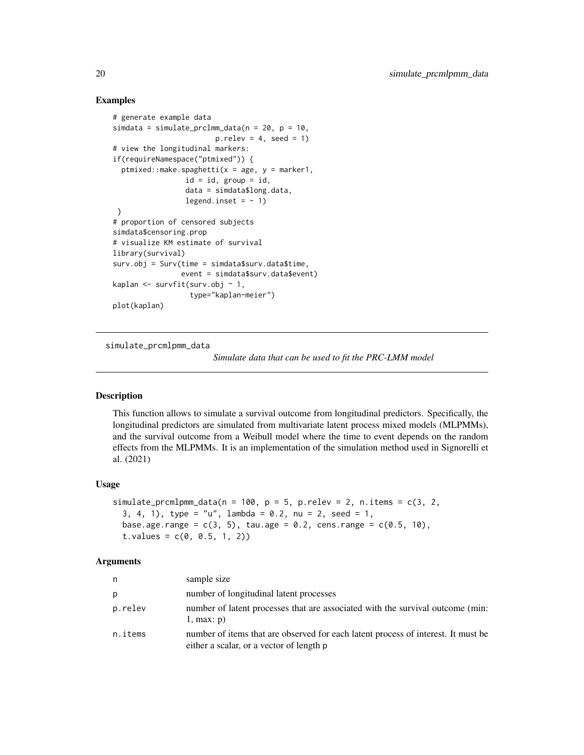#### Examples

```
# generate example data
simdata = simulate_prclmm_data(n = 20, p = 10,
                        p. relev = 4, seed = 1)
# view the longitudinal markers:
if(requireNamespace("ptmixed")) {
 ptmixed::make.spaghetti(x = age, y = marker1,
                 id = id, group = id,
                 data = simdata$long.data,
                 legend.inset = -1)
}
# proportion of censored subjects
simdata$censoring.prop
# visualize KM estimate of survival
library(survival)
surv.obj = Surv(time = simdata$surv.data$time,
                event = simdata$surv.data$event)
kaplan \leq survfit(surv.obj \sim 1,
                  type="kaplan-meier")
plot(kaplan)
```
<span id="page-19-1"></span>simulate\_prcmlpmm\_data

*Simulate data that can be used to fit the PRC-LMM model*

# Description

This function allows to simulate a survival outcome from longitudinal predictors. Specifically, the longitudinal predictors are simulated from multivariate latent process mixed models (MLPMMs), and the survival outcome from a Weibull model where the time to event depends on the random effects from the MLPMMs. It is an implementation of the simulation method used in Signorelli et al. (2021)

#### Usage

```
simulate_prcmlpmm_data(n = 100, p = 5, p. relev = 2, n. items = c(3, 2,
  3, 4, 1), type = "u", lambda = 0.2, nu = 2, seed = 1,
 base.age.range = c(3, 5), tau.age = 0.2, cens.range = c(0.5, 10),
  t.yalues = c(0, 0.5, 1, 2)
```
#### Arguments

| n       | sample size                                                                                                                   |
|---------|-------------------------------------------------------------------------------------------------------------------------------|
| р       | number of longitudinal latent processes                                                                                       |
| p.relev | number of latent processes that are associated with the survival outcome (min:<br>$1$ , max: $p$ )                            |
| n.items | number of items that are observed for each latent process of interest. It must be<br>either a scalar, or a vector of length p |

<span id="page-19-0"></span>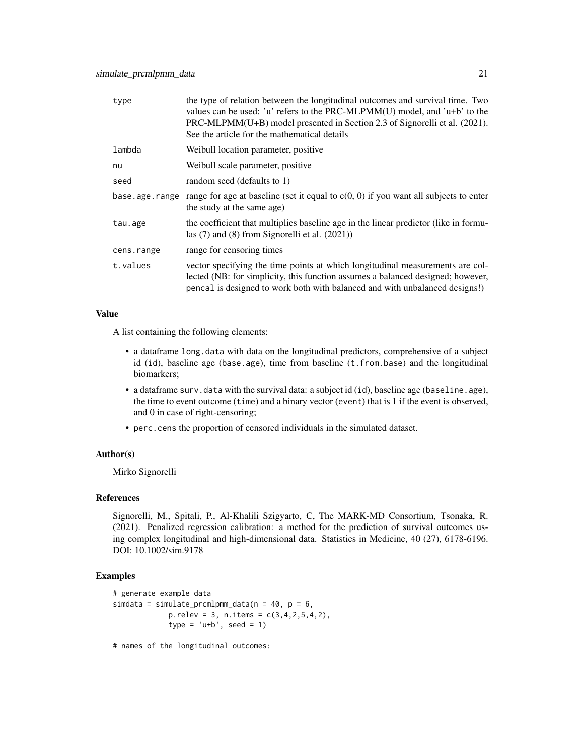| type           | the type of relation between the longitudinal outcomes and survival time. Two<br>values can be used: 'u' refers to the PRC-MLPMM(U) model, and 'u+b' to the<br>PRC-MLPMM(U+B) model presented in Section 2.3 of Signorelli et al. (2021).<br>See the article for the mathematical details |
|----------------|-------------------------------------------------------------------------------------------------------------------------------------------------------------------------------------------------------------------------------------------------------------------------------------------|
| lambda         | Weibull location parameter, positive                                                                                                                                                                                                                                                      |
| nu             | Weibull scale parameter, positive                                                                                                                                                                                                                                                         |
| seed           | random seed (defaults to 1)                                                                                                                                                                                                                                                               |
| base.age.range | range for age at baseline (set it equal to $c(0, 0)$ ) if you want all subjects to enter<br>the study at the same age)                                                                                                                                                                    |
| tau.age        | the coefficient that multiplies baseline age in the linear predictor (like in formu-<br>las $(7)$ and $(8)$ from Signorelli et al. $(2021)$ )                                                                                                                                             |
| cens.range     | range for censoring times                                                                                                                                                                                                                                                                 |
| t.values       | vector specifying the time points at which longitudinal measurements are col-<br>lected (NB: for simplicity, this function assumes a balanced designed; however,<br>pencal is designed to work both with balanced and with unbalanced designs!)                                           |

# Value

A list containing the following elements:

- a dataframe long.data with data on the longitudinal predictors, comprehensive of a subject id (id), baseline age (base.age), time from baseline (t.from.base) and the longitudinal biomarkers;
- a dataframe surv.data with the survival data: a subject id (id), baseline age (baseline.age), the time to event outcome (time) and a binary vector (event) that is 1 if the event is observed, and 0 in case of right-censoring;
- perc.cens the proportion of censored individuals in the simulated dataset.

# Author(s)

Mirko Signorelli

#### References

Signorelli, M., Spitali, P., Al-Khalili Szigyarto, C, The MARK-MD Consortium, Tsonaka, R. (2021). Penalized regression calibration: a method for the prediction of survival outcomes using complex longitudinal and high-dimensional data. Statistics in Medicine, 40 (27), 6178-6196. DOI: 10.1002/sim.9178

#### Examples

```
# generate example data
simdata = simulate_prcmlpmm_data(n = 40, p = 6,
             p. relev = 3, n.items = c(3, 4, 2, 5, 4, 2),
             type = 'u+b', seed = 1)
```
# names of the longitudinal outcomes: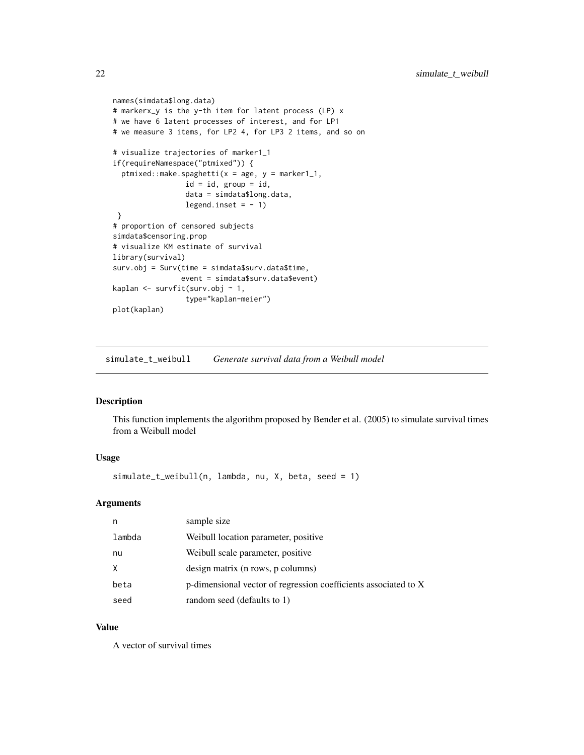```
names(simdata$long.data)
# markerx_y is the y-th item for latent process (LP) x
# we have 6 latent processes of interest, and for LP1
# we measure 3 items, for LP2 4, for LP3 2 items, and so on
# visualize trajectories of marker1_1
if(requireNamespace("ptmixed")) {
 ptmixed::make.spaghetti(x = age, y = marker1_1,
                 id = id, group = id,
                 data = simdata$long.data,
                 legend.inset = -1)
}
# proportion of censored subjects
simdata$censoring.prop
# visualize KM estimate of survival
library(survival)
surv.obj = Surv(time = simdata$surv.data$time,
                event = simdata$surv.data$event)
kaplan <- survfit(surv.obj ~ 1,
                 type="kaplan-meier")
plot(kaplan)
```
simulate\_t\_weibull *Generate survival data from a Weibull model*

#### Description

This function implements the algorithm proposed by Bender et al. (2005) to simulate survival times from a Weibull model

#### Usage

simulate\_t\_weibull(n, lambda, nu, X, beta, seed = 1)

# Arguments

| n      | sample size                                                     |
|--------|-----------------------------------------------------------------|
| lambda | Weibull location parameter, positive                            |
| nu     | Weibull scale parameter, positive                               |
| X      | design matrix (n rows, p columns)                               |
| beta   | p-dimensional vector of regression coefficients associated to X |
| seed   | random seed (defaults to 1)                                     |

#### Value

A vector of survival times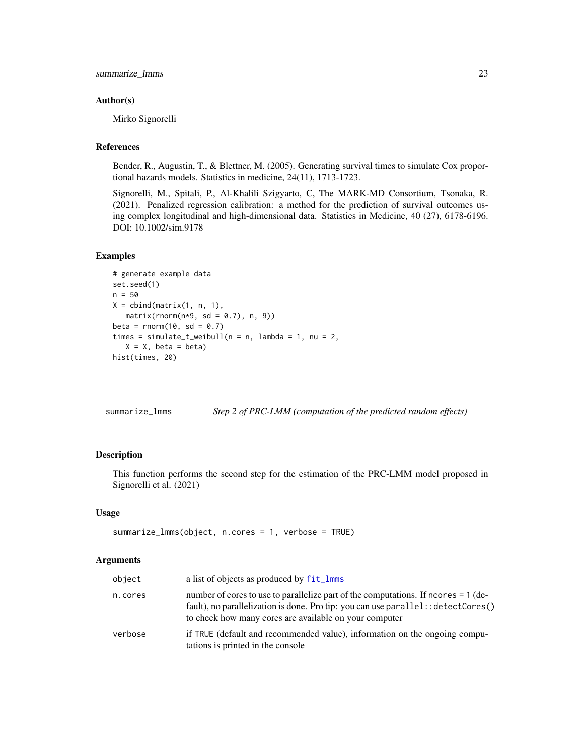#### <span id="page-22-0"></span>Author(s)

Mirko Signorelli

# References

Bender, R., Augustin, T., & Blettner, M. (2005). Generating survival times to simulate Cox proportional hazards models. Statistics in medicine, 24(11), 1713-1723.

Signorelli, M., Spitali, P., Al-Khalili Szigyarto, C, The MARK-MD Consortium, Tsonaka, R. (2021). Penalized regression calibration: a method for the prediction of survival outcomes using complex longitudinal and high-dimensional data. Statistics in Medicine, 40 (27), 6178-6196. DOI: 10.1002/sim.9178

#### Examples

```
# generate example data
set.seed(1)
n = 50
X = \text{cbind}(\text{matrix}(1, n, 1)),matrix(rnorm(n*9, sd = 0.7), n, 9)beta = rnorm(10, sd = 0.7)times = simulate_t_weibull(n = n, lambda = 1, nu = 2,
   X = X, beta = beta)
hist(times, 20)
```
<span id="page-22-1"></span>summarize\_lmms *Step 2 of PRC-LMM (computation of the predicted random effects)*

# Description

This function performs the second step for the estimation of the PRC-LMM model proposed in Signorelli et al. (2021)

#### Usage

```
summarize_lmms(object, n.cores = 1, verbose = TRUE)
```
# Arguments

| object  | a list of objects as produced by fit_lmms                                                                                                                                                                                                           |
|---------|-----------------------------------------------------------------------------------------------------------------------------------------------------------------------------------------------------------------------------------------------------|
| n.cores | number of cores to use to parallelize part of the computations. If neores = 1 (de-<br>fault), no parallelization is done. Pro tip: you can use $\text{parallel}$ : $\text{detectCores}()$<br>to check how many cores are available on your computer |
| verbose | if TRUE (default and recommended value), information on the ongoing compu-<br>tations is printed in the console                                                                                                                                     |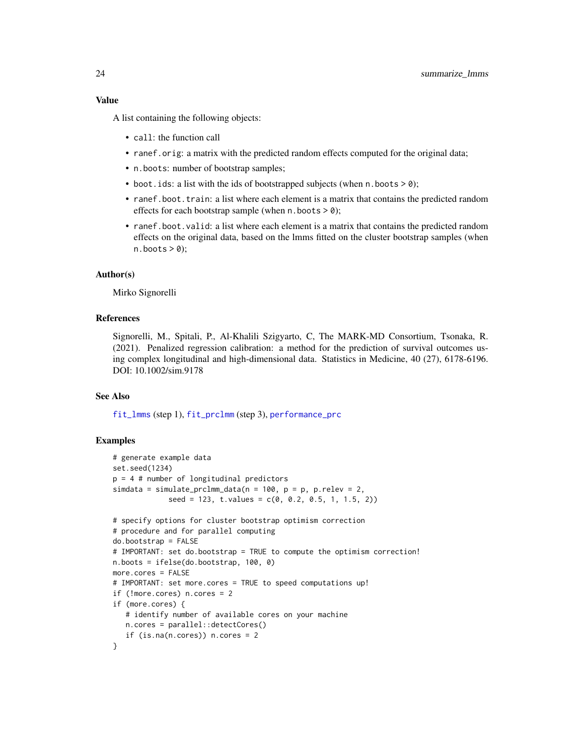#### <span id="page-23-0"></span>Value

A list containing the following objects:

- call: the function call
- ranef.orig: a matrix with the predicted random effects computed for the original data;
- n.boots: number of bootstrap samples;
- boot. ids: a list with the ids of bootstrapped subjects (when  $n.$  boots  $> 0$ );
- ranef.boot.train: a list where each element is a matrix that contains the predicted random effects for each bootstrap sample (when  $n.$  boots  $> 0$ );
- ranef.boot.valid: a list where each element is a matrix that contains the predicted random effects on the original data, based on the lmms fitted on the cluster bootstrap samples (when  $n.$ boots  $> 0$ );

#### Author(s)

Mirko Signorelli

## References

Signorelli, M., Spitali, P., Al-Khalili Szigyarto, C, The MARK-MD Consortium, Tsonaka, R. (2021). Penalized regression calibration: a method for the prediction of survival outcomes using complex longitudinal and high-dimensional data. Statistics in Medicine, 40 (27), 6178-6196. DOI: 10.1002/sim.9178

# See Also

[fit\\_lmms](#page-2-1) (step 1), [fit\\_prclmm](#page-7-1) (step 3), [performance\\_prc](#page-16-1)

```
# generate example data
set.seed(1234)
p = 4 # number of longitudinal predictors
simdata = simulate_prclmm_data(n = 100, p = p, p.relev = 2,
            seed = 123, t.values = c(0, 0.2, 0.5, 1, 1.5, 2)# specify options for cluster bootstrap optimism correction
# procedure and for parallel computing
do.bootstrap = FALSE
# IMPORTANT: set do.bootstrap = TRUE to compute the optimism correction!
n.boots = ifelse(do.bootstrap, 100, 0)
more.cores = FALSE
# IMPORTANT: set more.cores = TRUE to speed computations up!
if (!more.cores) n.cores = 2
if (more.cores) {
  # identify number of available cores on your machine
  n.cores = parallel::detectCores()
  if (is.na(n.core)) n.cores = 2
}
```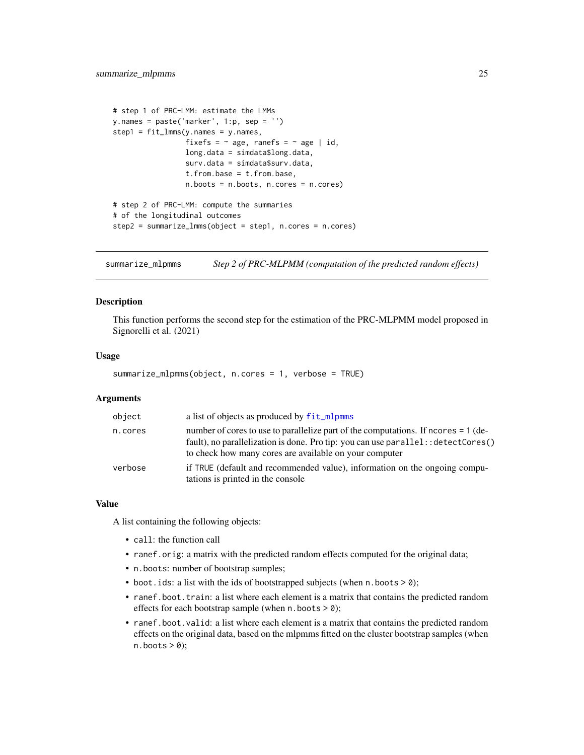```
# step 1 of PRC-LMM: estimate the LMMs
y.names = paste('marker', 1:p, sep = '')
step1 = fit_lmms(y.name = y.name,fixefs = \sim age, ranefs = \sim age | id,
                 long.data = simdata$long.data,
                 surv.data = simdata$surv.data,
                 t.from.base = t.from.base,
                 n.boots = n.boots, n.cores = n.cores)
# step 2 of PRC-LMM: compute the summaries
# of the longitudinal outcomes
step2 = summarize_lmms(object = step1, n.cores = n.cores)
```
<span id="page-24-1"></span>summarize\_mlpmms *Step 2 of PRC-MLPMM (computation of the predicted random effects)*

#### **Description**

This function performs the second step for the estimation of the PRC-MLPMM model proposed in Signorelli et al. (2021)

#### Usage

```
summarize_mlpmms(object, n.cores = 1, verbose = TRUE)
```
#### Arguments

| object  | a list of objects as produced by fit_mlpmms                                                                                                                                                                                          |
|---------|--------------------------------------------------------------------------------------------------------------------------------------------------------------------------------------------------------------------------------------|
| n.cores | number of cores to use to parallelize part of the computations. If ncores $= 1$ (de-<br>fault), no parallelization is done. Pro tip: you can use parallel: : detectCores()<br>to check how many cores are available on your computer |
| verbose | if TRUE (default and recommended value), information on the ongoing compu-<br>tations is printed in the console                                                                                                                      |

#### Value

A list containing the following objects:

- call: the function call
- ranef.orig: a matrix with the predicted random effects computed for the original data;
- n.boots: number of bootstrap samples;
- boot. ids: a list with the ids of bootstrapped subjects (when  $n \cdot$  boots  $> 0$ );
- ranef.boot.train: a list where each element is a matrix that contains the predicted random effects for each bootstrap sample (when  $n.$  boots  $> 0$ );
- ranef.boot.valid: a list where each element is a matrix that contains the predicted random effects on the original data, based on the mlpmms fitted on the cluster bootstrap samples (when  $n.$ boots > 0);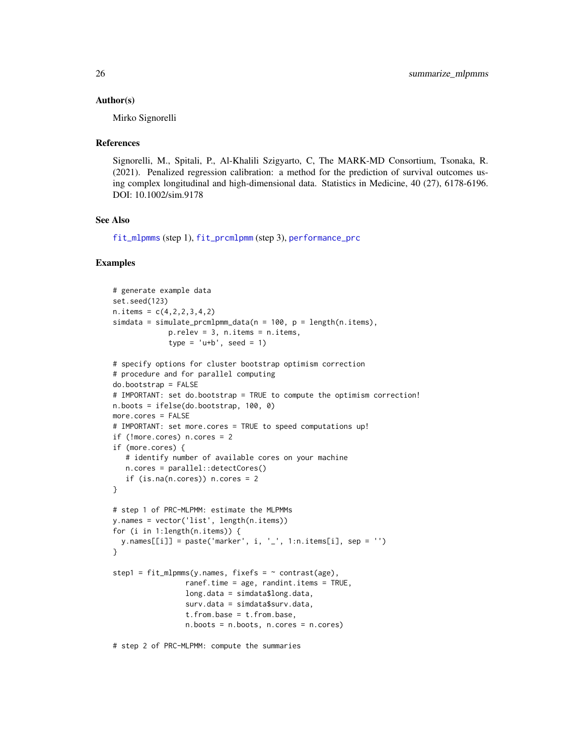#### Author(s)

Mirko Signorelli

#### References

Signorelli, M., Spitali, P., Al-Khalili Szigyarto, C, The MARK-MD Consortium, Tsonaka, R. (2021). Penalized regression calibration: a method for the prediction of survival outcomes using complex longitudinal and high-dimensional data. Statistics in Medicine, 40 (27), 6178-6196. DOI: 10.1002/sim.9178

## See Also

[fit\\_mlpmms](#page-4-1) (step 1), [fit\\_prcmlpmm](#page-9-1) (step 3), [performance\\_prc](#page-16-1)

```
# generate example data
set.seed(123)
n. items = c(4, 2, 2, 3, 4, 2)simdata = simulate_prcmlpmm_data(n = 100, p = length(n.items),
             p.relev = 3, n.items = n.items,
             type = 'u+b', seed = 1)
# specify options for cluster bootstrap optimism correction
# procedure and for parallel computing
do.bootstrap = FALSE
# IMPORTANT: set do.bootstrap = TRUE to compute the optimism correction!
n.boots = ifelse(do.bootstrap, 100, 0)
more.cores = FALSE
# IMPORTANT: set more.cores = TRUE to speed computations up!
if (!more.cores) n.cores = 2
if (more.cores) {
   # identify number of available cores on your machine
   n.cores = parallel::detectCores()
   if (is.na(n.core)) n.cores = 2
}
# step 1 of PRC-MLPMM: estimate the MLPMMs
y.names = vector('list', length(n.items))
for (i in 1:length(n.items)) {
  y.names[[i]] = paste('marker', i, '_', 1:n.items[i], sep = '')
}
step1 = fit_m1pmms(y.name, fixefs = ~ contrast(age),ranef.time = age, randint.items = TRUE,
                 long.data = simdata$long.data,
                 surv.data = simdata$surv.data,
                 t.from.base = t.from.base,
                 n.boots = n.boots, n.cores = n.cores)
# step 2 of PRC-MLPMM: compute the summaries
```
<span id="page-25-0"></span>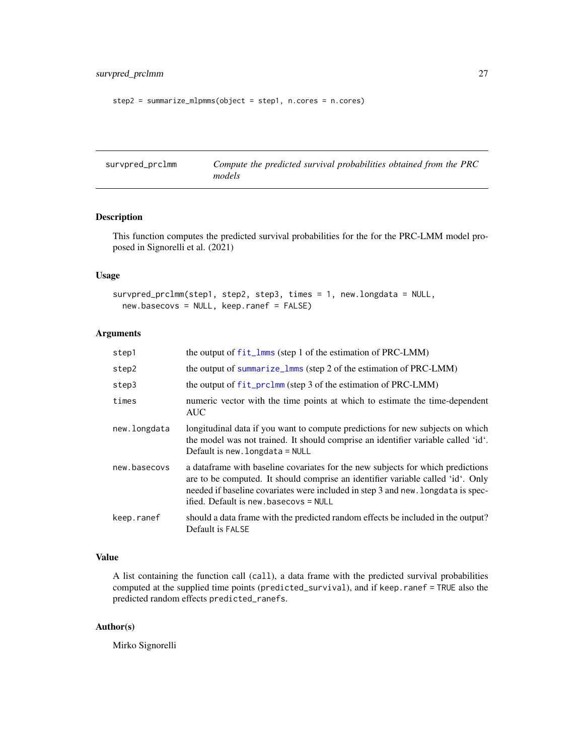```
step2 = summarize_mlpmms(object = step1, n.cores = n.cores)
```

| survpred_prclmm | Compute the predicted survival probabilities obtained from the PRC |
|-----------------|--------------------------------------------------------------------|
|                 | models                                                             |

# Description

This function computes the predicted survival probabilities for the for the PRC-LMM model proposed in Signorelli et al. (2021)

#### Usage

```
survpred_prclmm(step1, step2, step3, times = 1, new.longdata = NULL,
 new.basecovs = NULL, keep.ranef = FALSE)
```
# Arguments

| step1        | the output of $fit_lmms$ (step 1 of the estimation of PRC-LMM)                                                                                                                                                                                                                                   |
|--------------|--------------------------------------------------------------------------------------------------------------------------------------------------------------------------------------------------------------------------------------------------------------------------------------------------|
| step2        | the output of summarize_1mms (step 2 of the estimation of PRC-LMM)                                                                                                                                                                                                                               |
| step3        | the output of fit_prclmm (step 3 of the estimation of PRC-LMM)                                                                                                                                                                                                                                   |
| times        | numeric vector with the time points at which to estimate the time-dependent<br><b>AUC</b>                                                                                                                                                                                                        |
| new.longdata | longitudinal data if you want to compute predictions for new subjects on which<br>the model was not trained. It should comprise an identifier variable called 'id'.<br>Default is new. longdata $=$ NULL                                                                                         |
| new.basecovs | a dataframe with baseline covariates for the new subjects for which predictions<br>are to be computed. It should comprise an identifier variable called 'id'. Only<br>needed if baseline covariates were included in step 3 and new. Longdata is spec-<br>ified. Default is new. basecovs = NULL |
| keep.ranef   | should a data frame with the predicted random effects be included in the output?<br>Default is FALSE                                                                                                                                                                                             |

# Value

A list containing the function call (call), a data frame with the predicted survival probabilities computed at the supplied time points (predicted\_survival), and if keep.ranef = TRUE also the predicted random effects predicted\_ranefs.

#### Author(s)

Mirko Signorelli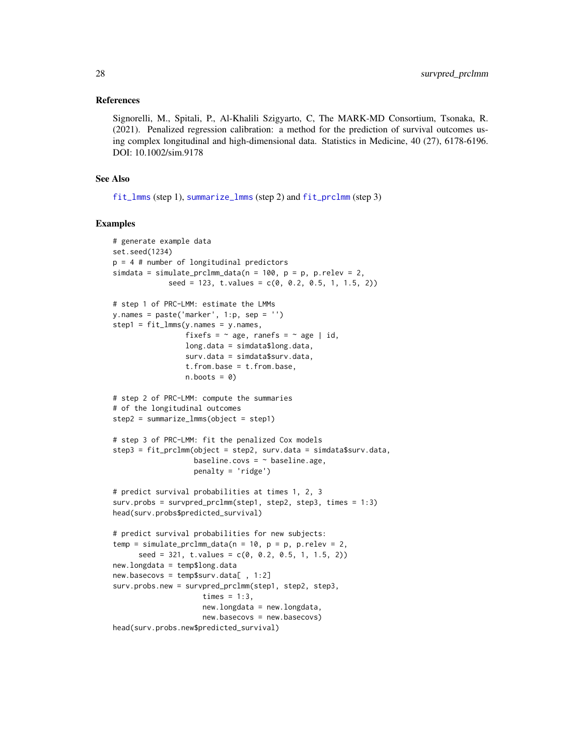#### <span id="page-27-0"></span>References

Signorelli, M., Spitali, P., Al-Khalili Szigyarto, C, The MARK-MD Consortium, Tsonaka, R. (2021). Penalized regression calibration: a method for the prediction of survival outcomes using complex longitudinal and high-dimensional data. Statistics in Medicine, 40 (27), 6178-6196. DOI: 10.1002/sim.9178

# See Also

[fit\\_lmms](#page-2-1) (step 1), [summarize\\_lmms](#page-22-1) (step 2) and [fit\\_prclmm](#page-7-1) (step 3)

```
# generate example data
set.seed(1234)
p = 4 # number of longitudinal predictors
simdata = simulate_prclmm_data(n = 100, p = p, p.relev = 2,
             seed = 123, t.values = c(0, 0.2, 0.5, 1, 1.5, 2))# step 1 of PRC-LMM: estimate the LMMs
y.names = paste('marker', 1:p, sep = '')
step1 = fit_lmms(y.name = y.name,fixefs = \sim age, ranefs = \sim age | id,
                 long.data = simdata$long.data,
                 surv.data = simdata$surv.data,
                 t.from.base = t.from.base,
                 n.boots = 0)
# step 2 of PRC-LMM: compute the summaries
# of the longitudinal outcomes
step2 = summarize_lmms(object = step1)
# step 3 of PRC-LMM: fit the penalized Cox models
step3 = fit_prclmm(object = step2, surv.data = simdata$surv.data,
                   baseline.covs = ~\sim baseline.age,
                   penalty = 'ridge')
# predict survival probabilities at times 1, 2, 3
surv.probs = survpred_prclmm(step1, step2, step3, times = 1:3)
head(surv.probs$predicted_survival)
# predict survival probabilities for new subjects:
temp = simulate\_prclmm\_data(n = 10, p = p, p.relev = 2,seed = 321, t.values = c(0, 0.2, 0.5, 1, 1.5, 2))new.longdata = temp$long.data
new.basecovs = temp$surv.data[ , 1:2]
surv.probs.new = survpred_prclmm(step1, step2, step3,
                     times = 1:3,
                     new.longdata = new.longdata,
                     new.basecovs = new.basecovs)
head(surv.probs.new$predicted_survival)
```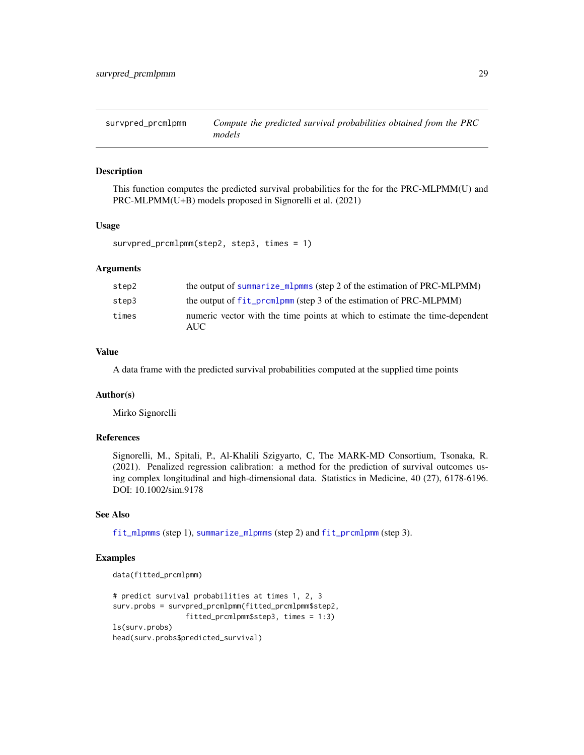<span id="page-28-1"></span><span id="page-28-0"></span>survpred\_prcmlpmm *Compute the predicted survival probabilities obtained from the PRC models*

#### Description

This function computes the predicted survival probabilities for the for the PRC-MLPMM(U) and PRC-MLPMM(U+B) models proposed in Signorelli et al. (2021)

#### Usage

```
survpred_prcmlpmm(step2, step3, times = 1)
```
#### Arguments

| step2 | the output of summarize_mlpmms (step 2 of the estimation of PRC-MLPMM)              |
|-------|-------------------------------------------------------------------------------------|
| step3 | the output of fit_prcmlpmm (step 3 of the estimation of PRC-MLPMM)                  |
| times | numeric vector with the time points at which to estimate the time-dependent<br>AUC. |

# Value

A data frame with the predicted survival probabilities computed at the supplied time points

#### Author(s)

Mirko Signorelli

# References

Signorelli, M., Spitali, P., Al-Khalili Szigyarto, C, The MARK-MD Consortium, Tsonaka, R. (2021). Penalized regression calibration: a method for the prediction of survival outcomes using complex longitudinal and high-dimensional data. Statistics in Medicine, 40 (27), 6178-6196. DOI: 10.1002/sim.9178

# See Also

[fit\\_mlpmms](#page-4-1) (step 1), [summarize\\_mlpmms](#page-24-1) (step 2) and [fit\\_prcmlpmm](#page-9-1) (step 3).

```
data(fitted_prcmlpmm)
```

```
# predict survival probabilities at times 1, 2, 3
surv.probs = survpred_prcmlpmm(fitted_prcmlpmm$step2,
                 fitted_prcmlpmm$step3, times = 1:3)
ls(surv.probs)
head(surv.probs$predicted_survival)
```